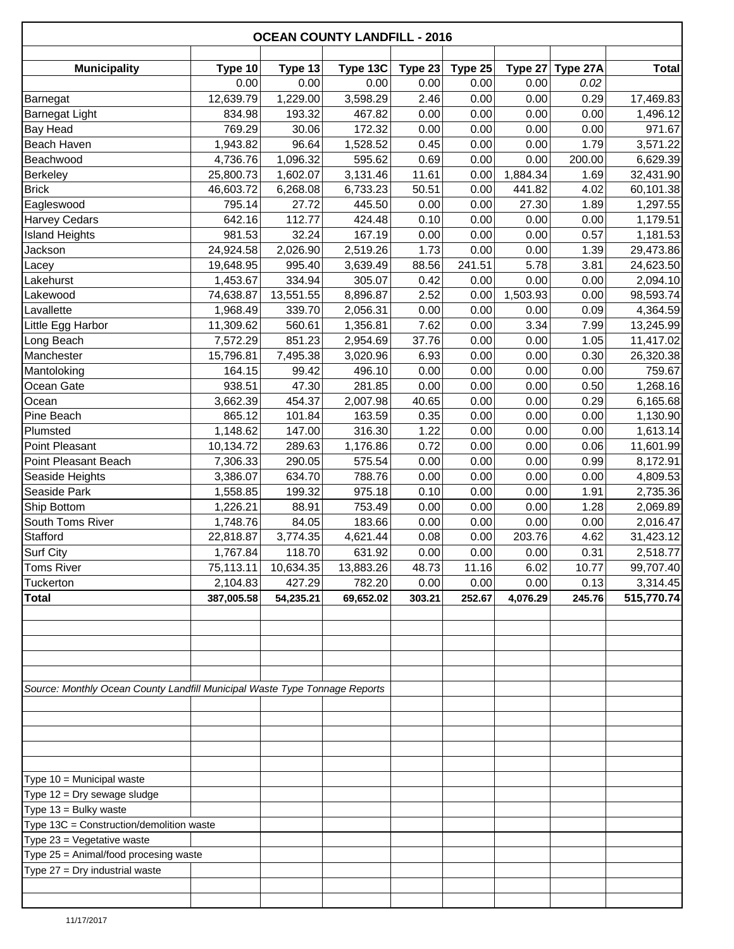|                                                                        |                                                                                                                                                                |                                                                                                          |                                                                                                                                                                                                     |                                                                           |                                                                   | <b>OCEAN COUNTY LANDFILL - 2016</b>                                |                                                                         |  |  |  |  |  |  |  |  |
|------------------------------------------------------------------------|----------------------------------------------------------------------------------------------------------------------------------------------------------------|----------------------------------------------------------------------------------------------------------|-----------------------------------------------------------------------------------------------------------------------------------------------------------------------------------------------------|---------------------------------------------------------------------------|-------------------------------------------------------------------|--------------------------------------------------------------------|-------------------------------------------------------------------------|--|--|--|--|--|--|--|--|
|                                                                        |                                                                                                                                                                |                                                                                                          |                                                                                                                                                                                                     |                                                                           |                                                                   |                                                                    | <b>Total</b>                                                            |  |  |  |  |  |  |  |  |
| 0.00                                                                   | 0.00                                                                                                                                                           | 0.00                                                                                                     | 0.00                                                                                                                                                                                                | 0.00                                                                      | 0.00                                                              | 0.02                                                               |                                                                         |  |  |  |  |  |  |  |  |
|                                                                        |                                                                                                                                                                | 3,598.29                                                                                                 |                                                                                                                                                                                                     | 0.00                                                                      |                                                                   |                                                                    | 17,469.83                                                               |  |  |  |  |  |  |  |  |
|                                                                        |                                                                                                                                                                |                                                                                                          |                                                                                                                                                                                                     |                                                                           |                                                                   |                                                                    | 1,496.12                                                                |  |  |  |  |  |  |  |  |
| 769.29                                                                 | 30.06                                                                                                                                                          | 172.32                                                                                                   | 0.00                                                                                                                                                                                                | 0.00                                                                      | 0.00                                                              | 0.00                                                               | 971.67                                                                  |  |  |  |  |  |  |  |  |
| 1,943.82                                                               | 96.64                                                                                                                                                          |                                                                                                          | 0.45                                                                                                                                                                                                | 0.00                                                                      | 0.00                                                              | 1.79                                                               | 3,571.22                                                                |  |  |  |  |  |  |  |  |
|                                                                        |                                                                                                                                                                |                                                                                                          |                                                                                                                                                                                                     |                                                                           |                                                                   |                                                                    | 6,629.39                                                                |  |  |  |  |  |  |  |  |
| 25,800.73                                                              | 1,602.07                                                                                                                                                       | 3,131.46                                                                                                 | 11.61                                                                                                                                                                                               | 0.00                                                                      | 1,884.34                                                          | 1.69                                                               | 32,431.90                                                               |  |  |  |  |  |  |  |  |
| 46,603.72                                                              | 6,268.08                                                                                                                                                       | 6,733.23                                                                                                 | 50.51                                                                                                                                                                                               | 0.00                                                                      | 441.82                                                            | 4.02                                                               | 60,101.38                                                               |  |  |  |  |  |  |  |  |
| 795.14                                                                 | 27.72                                                                                                                                                          | 445.50                                                                                                   | 0.00                                                                                                                                                                                                | 0.00                                                                      | 27.30                                                             | 1.89                                                               | 1,297.55                                                                |  |  |  |  |  |  |  |  |
| 642.16                                                                 | 112.77                                                                                                                                                         | 424.48                                                                                                   | 0.10                                                                                                                                                                                                | 0.00                                                                      | 0.00                                                              | 0.00                                                               | 1,179.51                                                                |  |  |  |  |  |  |  |  |
| 981.53                                                                 | 32.24                                                                                                                                                          | 167.19                                                                                                   | 0.00                                                                                                                                                                                                | 0.00                                                                      | 0.00                                                              | 0.57                                                               | 1,181.53                                                                |  |  |  |  |  |  |  |  |
| 24,924.58                                                              | 2,026.90                                                                                                                                                       | 2,519.26                                                                                                 | 1.73                                                                                                                                                                                                | 0.00                                                                      | 0.00                                                              | 1.39                                                               | 29,473.86                                                               |  |  |  |  |  |  |  |  |
| 19,648.95                                                              | 995.40                                                                                                                                                         | 3,639.49                                                                                                 | 88.56                                                                                                                                                                                               | 241.51                                                                    | 5.78                                                              | 3.81                                                               | 24,623.50                                                               |  |  |  |  |  |  |  |  |
| 1,453.67                                                               | 334.94                                                                                                                                                         | 305.07                                                                                                   | 0.42                                                                                                                                                                                                | 0.00                                                                      | 0.00                                                              | 0.00                                                               | 2,094.10                                                                |  |  |  |  |  |  |  |  |
| 74,638.87                                                              | 13,551.55                                                                                                                                                      | 8,896.87                                                                                                 | 2.52                                                                                                                                                                                                | 0.00                                                                      | 1,503.93                                                          | 0.00                                                               | 98,593.74                                                               |  |  |  |  |  |  |  |  |
| 1,968.49                                                               | 339.70                                                                                                                                                         | 2,056.31                                                                                                 | 0.00                                                                                                                                                                                                | 0.00                                                                      | 0.00                                                              | 0.09                                                               | 4,364.59                                                                |  |  |  |  |  |  |  |  |
| 11,309.62                                                              | 560.61                                                                                                                                                         | 1,356.81                                                                                                 | 7.62                                                                                                                                                                                                | 0.00                                                                      | 3.34                                                              | 7.99                                                               | 13,245.99                                                               |  |  |  |  |  |  |  |  |
| 7,572.29                                                               | 851.23                                                                                                                                                         | 2,954.69                                                                                                 | 37.76                                                                                                                                                                                               | 0.00                                                                      | 0.00                                                              | 1.05                                                               | 11,417.02                                                               |  |  |  |  |  |  |  |  |
| 15,796.81                                                              | 7,495.38                                                                                                                                                       | 3,020.96                                                                                                 | 6.93                                                                                                                                                                                                | 0.00                                                                      | 0.00                                                              | 0.30                                                               | 26,320.38                                                               |  |  |  |  |  |  |  |  |
| 164.15                                                                 | 99.42                                                                                                                                                          | 496.10                                                                                                   | 0.00                                                                                                                                                                                                | 0.00                                                                      | 0.00                                                              | 0.00                                                               | 759.67                                                                  |  |  |  |  |  |  |  |  |
| 938.51                                                                 | 47.30                                                                                                                                                          | 281.85                                                                                                   | 0.00                                                                                                                                                                                                | 0.00                                                                      | 0.00                                                              | 0.50                                                               | 1,268.16                                                                |  |  |  |  |  |  |  |  |
| 3,662.39                                                               | 454.37                                                                                                                                                         | 2,007.98                                                                                                 | 40.65                                                                                                                                                                                               | 0.00                                                                      | 0.00                                                              | 0.29                                                               | 6,165.68                                                                |  |  |  |  |  |  |  |  |
| 865.12                                                                 | 101.84                                                                                                                                                         | 163.59                                                                                                   | 0.35                                                                                                                                                                                                | 0.00                                                                      | 0.00                                                              | 0.00                                                               | 1,130.90                                                                |  |  |  |  |  |  |  |  |
| 1,148.62                                                               | 147.00                                                                                                                                                         | 316.30                                                                                                   | 1.22                                                                                                                                                                                                | 0.00                                                                      | 0.00                                                              | 0.00                                                               | 1,613.14                                                                |  |  |  |  |  |  |  |  |
| 10,134.72                                                              | 289.63                                                                                                                                                         |                                                                                                          | 0.72                                                                                                                                                                                                | 0.00                                                                      | 0.00                                                              | 0.06                                                               | 11,601.99                                                               |  |  |  |  |  |  |  |  |
|                                                                        | 290.05                                                                                                                                                         |                                                                                                          | 0.00                                                                                                                                                                                                | 0.00                                                                      | 0.00                                                              | 0.99                                                               | 8,172.91                                                                |  |  |  |  |  |  |  |  |
| 3,386.07                                                               |                                                                                                                                                                | 788.76                                                                                                   | 0.00                                                                                                                                                                                                |                                                                           | 0.00                                                              | 0.00                                                               | 4,809.53                                                                |  |  |  |  |  |  |  |  |
| 1,558.85                                                               | 199.32                                                                                                                                                         | 975.18                                                                                                   | 0.10                                                                                                                                                                                                | 0.00                                                                      | 0.00                                                              | 1.91                                                               | 2,735.36                                                                |  |  |  |  |  |  |  |  |
|                                                                        |                                                                                                                                                                |                                                                                                          |                                                                                                                                                                                                     | 0.00                                                                      |                                                                   | 1.28                                                               | 2,069.89                                                                |  |  |  |  |  |  |  |  |
|                                                                        |                                                                                                                                                                |                                                                                                          |                                                                                                                                                                                                     |                                                                           |                                                                   |                                                                    | 2,016.47                                                                |  |  |  |  |  |  |  |  |
|                                                                        |                                                                                                                                                                |                                                                                                          |                                                                                                                                                                                                     |                                                                           |                                                                   |                                                                    | 31,423.12                                                               |  |  |  |  |  |  |  |  |
| 1,767.84                                                               | 118.70                                                                                                                                                         | 631.92                                                                                                   | 0.00                                                                                                                                                                                                | 0.00                                                                      | 0.00                                                              | 0.31                                                               | 2,518.77                                                                |  |  |  |  |  |  |  |  |
| 75,113.11                                                              | 10,634.35                                                                                                                                                      | 13,883.26                                                                                                | 48.73                                                                                                                                                                                               | 11.16                                                                     | 6.02                                                              | 10.77                                                              | 99,707.40                                                               |  |  |  |  |  |  |  |  |
|                                                                        |                                                                                                                                                                |                                                                                                          |                                                                                                                                                                                                     |                                                                           |                                                                   | 0.13                                                               | 3,314.45                                                                |  |  |  |  |  |  |  |  |
|                                                                        |                                                                                                                                                                |                                                                                                          |                                                                                                                                                                                                     |                                                                           |                                                                   |                                                                    | 515,770.74                                                              |  |  |  |  |  |  |  |  |
|                                                                        |                                                                                                                                                                |                                                                                                          |                                                                                                                                                                                                     |                                                                           |                                                                   |                                                                    |                                                                         |  |  |  |  |  |  |  |  |
|                                                                        |                                                                                                                                                                |                                                                                                          |                                                                                                                                                                                                     |                                                                           |                                                                   |                                                                    |                                                                         |  |  |  |  |  |  |  |  |
|                                                                        |                                                                                                                                                                |                                                                                                          |                                                                                                                                                                                                     |                                                                           |                                                                   |                                                                    |                                                                         |  |  |  |  |  |  |  |  |
|                                                                        |                                                                                                                                                                |                                                                                                          |                                                                                                                                                                                                     |                                                                           |                                                                   |                                                                    |                                                                         |  |  |  |  |  |  |  |  |
|                                                                        |                                                                                                                                                                |                                                                                                          |                                                                                                                                                                                                     |                                                                           |                                                                   |                                                                    |                                                                         |  |  |  |  |  |  |  |  |
|                                                                        |                                                                                                                                                                |                                                                                                          |                                                                                                                                                                                                     |                                                                           |                                                                   |                                                                    |                                                                         |  |  |  |  |  |  |  |  |
|                                                                        |                                                                                                                                                                |                                                                                                          |                                                                                                                                                                                                     |                                                                           |                                                                   |                                                                    |                                                                         |  |  |  |  |  |  |  |  |
| Type 13C = Construction/demolition waste<br>Type 23 = Vegetative waste |                                                                                                                                                                |                                                                                                          |                                                                                                                                                                                                     |                                                                           |                                                                   |                                                                    |                                                                         |  |  |  |  |  |  |  |  |
|                                                                        |                                                                                                                                                                |                                                                                                          |                                                                                                                                                                                                     |                                                                           |                                                                   |                                                                    |                                                                         |  |  |  |  |  |  |  |  |
|                                                                        |                                                                                                                                                                |                                                                                                          |                                                                                                                                                                                                     |                                                                           |                                                                   |                                                                    |                                                                         |  |  |  |  |  |  |  |  |
|                                                                        |                                                                                                                                                                |                                                                                                          |                                                                                                                                                                                                     |                                                                           |                                                                   |                                                                    |                                                                         |  |  |  |  |  |  |  |  |
|                                                                        | Type 10<br>12,639.79<br>834.98<br>4,736.76<br>7,306.33<br>1,226.21<br>1,748.76<br>22,818.87<br>2,104.83<br>387,005.58<br>Type 25 = Animal/food procesing waste | Type 13<br>1,229.00<br>193.32<br>1,096.32<br>634.70<br>88.91<br>84.05<br>3,774.35<br>427.29<br>54,235.21 | Type 13C<br>467.82<br>1,528.52<br>595.62<br>1,176.86<br>575.54<br>753.49<br>183.66<br>4,621.44<br>782.20<br>69,652.02<br>Source: Monthly Ocean County Landfill Municipal Waste Type Tonnage Reports | Type 23<br>2.46<br>0.00<br>0.69<br>0.00<br>0.00<br>0.08<br>0.00<br>303.21 | Type 25<br>0.00<br>0.00<br>0.00<br>0.00<br>0.00<br>0.00<br>252.67 | 0.00<br>0.00<br>0.00<br>0.00<br>0.00<br>203.76<br>0.00<br>4,076.29 | Type 27A<br>Type 27<br>0.29<br>0.00<br>200.00<br>0.00<br>4.62<br>245.76 |  |  |  |  |  |  |  |  |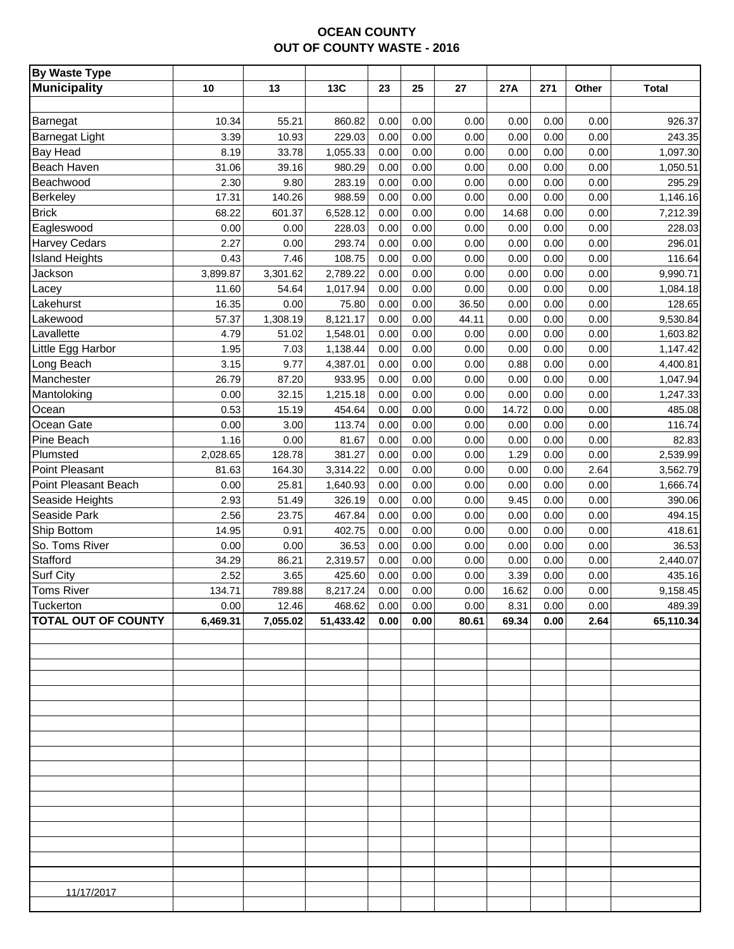# **OCEAN COUNTY OUT OF COUNTY WASTE - 2016**

| <b>By Waste Type</b>       |          |          |            |      |             |       |       |      |       |              |
|----------------------------|----------|----------|------------|------|-------------|-------|-------|------|-------|--------------|
| <b>Municipality</b>        | 10       | 13       | <b>13C</b> | 23   | 25          | 27    | 27A   | 271  | Other | <b>Total</b> |
|                            |          |          |            |      |             |       |       |      |       |              |
| Barnegat                   | 10.34    | 55.21    | 860.82     | 0.00 | 0.00        | 0.00  | 0.00  | 0.00 | 0.00  | 926.37       |
| <b>Barnegat Light</b>      | 3.39     | 10.93    | 229.03     | 0.00 | 0.00        | 0.00  | 0.00  | 0.00 | 0.00  | 243.35       |
| <b>Bay Head</b>            | 8.19     | 33.78    | 1,055.33   | 0.00 | 0.00        | 0.00  | 0.00  | 0.00 | 0.00  | 1,097.30     |
| Beach Haven                | 31.06    | 39.16    | 980.29     | 0.00 | 0.00        | 0.00  | 0.00  | 0.00 | 0.00  | 1,050.51     |
| Beachwood                  | 2.30     | 9.80     | 283.19     | 0.00 | 0.00        | 0.00  | 0.00  | 0.00 | 0.00  | 295.29       |
| <b>Berkeley</b>            | 17.31    | 140.26   | 988.59     | 0.00 | 0.00        | 0.00  | 0.00  | 0.00 | 0.00  | 1,146.16     |
| <b>Brick</b>               | 68.22    | 601.37   | 6,528.12   | 0.00 | 0.00        | 0.00  | 14.68 | 0.00 | 0.00  | 7,212.39     |
| Eagleswood                 | 0.00     | 0.00     | 228.03     | 0.00 | 0.00        | 0.00  | 0.00  | 0.00 | 0.00  | 228.03       |
| <b>Harvey Cedars</b>       | 2.27     | 0.00     | 293.74     | 0.00 | 0.00        | 0.00  | 0.00  | 0.00 | 0.00  | 296.01       |
| <b>Island Heights</b>      | 0.43     | 7.46     | 108.75     | 0.00 | 0.00        | 0.00  | 0.00  | 0.00 | 0.00  | 116.64       |
| Jackson                    | 3,899.87 | 3,301.62 | 2,789.22   | 0.00 | 0.00        | 0.00  | 0.00  | 0.00 | 0.00  | 9,990.71     |
| Lacey                      | 11.60    | 54.64    | 1,017.94   | 0.00 | 0.00        | 0.00  | 0.00  | 0.00 | 0.00  | 1,084.18     |
| Lakehurst                  | 16.35    | 0.00     | 75.80      | 0.00 | 0.00        | 36.50 | 0.00  | 0.00 | 0.00  | 128.65       |
| Lakewood                   | 57.37    | 1,308.19 | 8,121.17   | 0.00 | 0.00        | 44.11 | 0.00  | 0.00 | 0.00  | 9,530.84     |
| Lavallette                 | 4.79     | 51.02    | 1,548.01   | 0.00 | 0.00        | 0.00  | 0.00  | 0.00 | 0.00  | 1,603.82     |
| Little Egg Harbor          | 1.95     | 7.03     | 1,138.44   | 0.00 | 0.00        | 0.00  | 0.00  | 0.00 | 0.00  | 1,147.42     |
| Long Beach                 | 3.15     | 9.77     | 4,387.01   | 0.00 | 0.00        | 0.00  | 0.88  | 0.00 | 0.00  | 4,400.81     |
| Manchester                 | 26.79    | 87.20    | 933.95     | 0.00 | 0.00        | 0.00  | 0.00  | 0.00 | 0.00  | 1,047.94     |
| Mantoloking                | 0.00     | 32.15    | 1,215.18   | 0.00 | 0.00        | 0.00  | 0.00  | 0.00 | 0.00  | 1,247.33     |
| Ocean                      | 0.53     | 15.19    | 454.64     | 0.00 | 0.00        | 0.00  | 14.72 | 0.00 | 0.00  | 485.08       |
| Ocean Gate                 | 0.00     | 3.00     | 113.74     | 0.00 | 0.00        | 0.00  | 0.00  | 0.00 | 0.00  | 116.74       |
| Pine Beach                 | 1.16     | 0.00     | 81.67      | 0.00 | 0.00        | 0.00  | 0.00  | 0.00 | 0.00  | 82.83        |
| Plumsted                   | 2,028.65 | 128.78   | 381.27     | 0.00 | 0.00        | 0.00  | 1.29  | 0.00 | 0.00  | 2,539.99     |
| Point Pleasant             | 81.63    | 164.30   | 3,314.22   | 0.00 | 0.00        | 0.00  | 0.00  | 0.00 | 2.64  | 3,562.79     |
| Point Pleasant Beach       | 0.00     | 25.81    | 1,640.93   | 0.00 | 0.00        | 0.00  | 0.00  | 0.00 | 0.00  | 1,666.74     |
| Seaside Heights            | 2.93     | 51.49    | 326.19     | 0.00 | 0.00        | 0.00  | 9.45  | 0.00 | 0.00  | 390.06       |
| Seaside Park               | 2.56     | 23.75    | 467.84     | 0.00 | 0.00        | 0.00  | 0.00  | 0.00 | 0.00  | 494.15       |
| Ship Bottom                | 14.95    | 0.91     | 402.75     | 0.00 | 0.00        | 0.00  | 0.00  | 0.00 | 0.00  | 418.61       |
| So. Toms River             | 0.00     | 0.00     | 36.53      | 0.00 | 0.00        | 0.00  | 0.00  | 0.00 | 0.00  | 36.53        |
| Stafford                   | 34.29    | 86.21    | 2,319.57   | 0.00 | 0.00        | 0.00  | 0.00  | 0.00 | 0.00  | 2,440.07     |
| <b>Surf City</b>           | 2.52     | 3.65     | 425.60     | 0.00 | 0.00        | 0.00  | 3.39  | 0.00 | 0.00  | 435.16       |
| <b>Toms River</b>          | 134.71   | 789.88   | 8,217.24   | 0.00 | 0.00        | 0.00  | 16.62 | 0.00 | 0.00  | 9,158.45     |
| Tuckerton                  | 0.00     | 12.46    | 468.62     |      | $0.00$ 0.00 | 0.00  | 8.31  | 0.00 | 0.00  | 489.39       |
| <b>TOTAL OUT OF COUNTY</b> | 6,469.31 | 7,055.02 | 51,433.42  | 0.00 | 0.00        | 80.61 | 69.34 | 0.00 | 2.64  | 65,110.34    |
|                            |          |          |            |      |             |       |       |      |       |              |
|                            |          |          |            |      |             |       |       |      |       |              |
|                            |          |          |            |      |             |       |       |      |       |              |
|                            |          |          |            |      |             |       |       |      |       |              |
|                            |          |          |            |      |             |       |       |      |       |              |
|                            |          |          |            |      |             |       |       |      |       |              |
|                            |          |          |            |      |             |       |       |      |       |              |
|                            |          |          |            |      |             |       |       |      |       |              |
|                            |          |          |            |      |             |       |       |      |       |              |
|                            |          |          |            |      |             |       |       |      |       |              |
|                            |          |          |            |      |             |       |       |      |       |              |
|                            |          |          |            |      |             |       |       |      |       |              |
|                            |          |          |            |      |             |       |       |      |       |              |
|                            |          |          |            |      |             |       |       |      |       |              |
|                            |          |          |            |      |             |       |       |      |       |              |
|                            |          |          |            |      |             |       |       |      |       |              |
|                            |          |          |            |      |             |       |       |      |       |              |
| 11/17/2017                 |          |          |            |      |             |       |       |      |       |              |
|                            |          |          |            |      |             |       |       |      |       |              |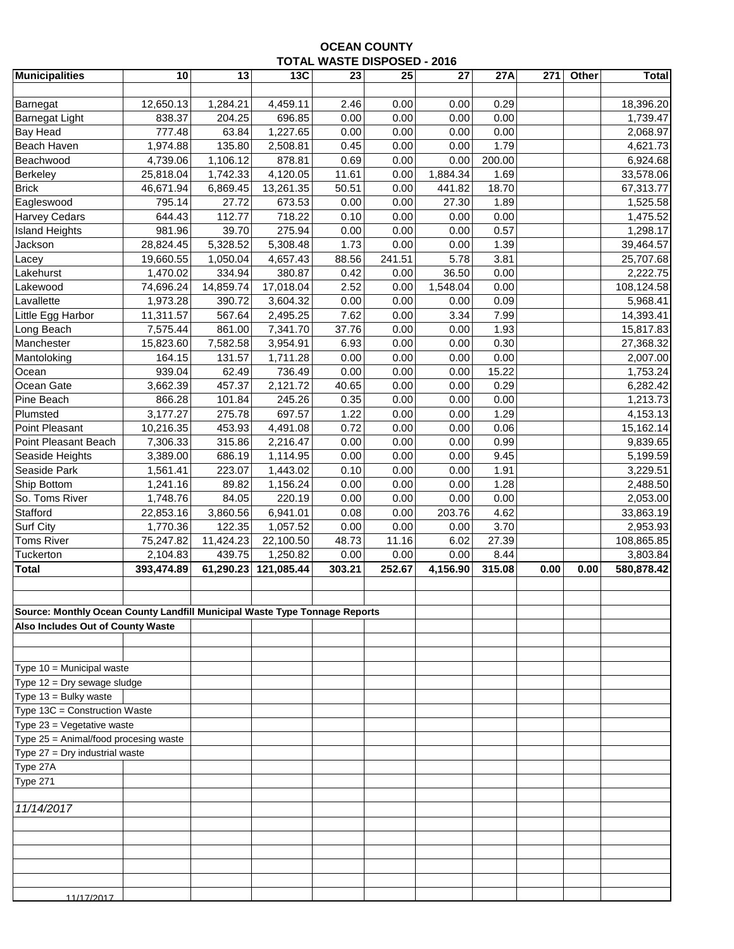## **OCEAN COUNTY TOTAL WASTE DISPOSED - 2016**

| <b>Municipalities</b>                                                      | 10                    | 13        | 13C        | 23     | 25     | 27       | 27A    | 271  | Other | <b>Total</b> |
|----------------------------------------------------------------------------|-----------------------|-----------|------------|--------|--------|----------|--------|------|-------|--------------|
|                                                                            |                       |           |            |        |        |          |        |      |       |              |
| Barnegat                                                                   | 12,650.13             | 1,284.21  | 4,459.11   | 2.46   | 0.00   | 0.00     | 0.29   |      |       | 18,396.20    |
| <b>Barnegat Light</b>                                                      | 838.37                | 204.25    | 696.85     | 0.00   | 0.00   | 0.00     | 0.00   |      |       | 1,739.47     |
| <b>Bay Head</b>                                                            | 777.48                | 63.84     | 1,227.65   | 0.00   | 0.00   | 0.00     | 0.00   |      |       | 2,068.97     |
| Beach Haven                                                                | 1,974.88              | 135.80    | 2,508.81   | 0.45   | 0.00   | 0.00     | 1.79   |      |       | 4,621.73     |
| Beachwood                                                                  | 4,739.06              | 1,106.12  | 878.81     | 0.69   | 0.00   | 0.00     | 200.00 |      |       | 6,924.68     |
| Berkeley                                                                   | 25,818.04             | 1,742.33  | 4,120.05   | 11.61  | 0.00   | 1,884.34 | 1.69   |      |       | 33,578.06    |
| <b>Brick</b>                                                               | 46,671.94             | 6,869.45  | 13,261.35  | 50.51  | 0.00   | 441.82   | 18.70  |      |       | 67,313.77    |
| Eagleswood                                                                 | 795.14                | 27.72     | 673.53     | 0.00   | 0.00   | 27.30    | 1.89   |      |       | 1,525.58     |
| <b>Harvey Cedars</b>                                                       | 644.43                | 112.77    | 718.22     | 0.10   | 0.00   | 0.00     | 0.00   |      |       | 1,475.52     |
| <b>Island Heights</b>                                                      | 981.96                | 39.70     | 275.94     | 0.00   | 0.00   | 0.00     | 0.57   |      |       | 1,298.17     |
| Jackson                                                                    | 28,824.45             | 5,328.52  | 5,308.48   | 1.73   | 0.00   | 0.00     | 1.39   |      |       | 39,464.57    |
| Lacey                                                                      | 19,660.55             | 1,050.04  | 4,657.43   | 88.56  | 241.51 | 5.78     | 3.81   |      |       | 25,707.68    |
| Lakehurst                                                                  | 1,470.02              | 334.94    | 380.87     | 0.42   | 0.00   | 36.50    | 0.00   |      |       | 2,222.75     |
| Lakewood                                                                   | 74,696.24             | 14,859.74 | 17,018.04  | 2.52   | 0.00   | 1,548.04 | 0.00   |      |       | 108,124.58   |
| Lavallette                                                                 | 1,973.28              | 390.72    | 3,604.32   | 0.00   | 0.00   | 0.00     | 0.09   |      |       | 5,968.41     |
| Little Egg Harbor                                                          | 11,311.57             | 567.64    | 2,495.25   | 7.62   | 0.00   | 3.34     | 7.99   |      |       | 14,393.41    |
| Long Beach                                                                 | $\overline{7,}575.44$ | 861.00    | 7,341.70   | 37.76  | 0.00   | 0.00     | 1.93   |      |       | 15,817.83    |
| Manchester                                                                 | 15,823.60             | 7,582.58  | 3,954.91   | 6.93   | 0.00   | 0.00     | 0.30   |      |       | 27,368.32    |
| Mantoloking                                                                | 164.15                | 131.57    | 1,711.28   | 0.00   | 0.00   | 0.00     | 0.00   |      |       | 2,007.00     |
| Ocean                                                                      | 939.04                | 62.49     | 736.49     | 0.00   | 0.00   | 0.00     | 15.22  |      |       | 1,753.24     |
| Ocean Gate                                                                 | 3,662.39              | 457.37    | 2,121.72   | 40.65  | 0.00   | 0.00     | 0.29   |      |       | 6,282.42     |
| Pine Beach                                                                 | 866.28                | 101.84    | 245.26     | 0.35   | 0.00   | 0.00     | 0.00   |      |       | 1,213.73     |
| Plumsted                                                                   | 3,177.27              | 275.78    | 697.57     | 1.22   | 0.00   | 0.00     | 1.29   |      |       | 4,153.13     |
| Point Pleasant                                                             | 10,216.35             | 453.93    | 4,491.08   | 0.72   | 0.00   | 0.00     | 0.06   |      |       | 15,162.14    |
| Point Pleasant Beach                                                       | 7,306.33              | 315.86    | 2,216.47   | 0.00   | 0.00   | 0.00     | 0.99   |      |       | 9,839.65     |
| Seaside Heights                                                            | 3,389.00              | 686.19    | 1,114.95   | 0.00   | 0.00   | 0.00     | 9.45   |      |       | 5,199.59     |
| Seaside Park                                                               | 1,561.41              | 223.07    | 1,443.02   | 0.10   | 0.00   | 0.00     | 1.91   |      |       | 3,229.51     |
| Ship Bottom                                                                | 1,241.16              | 89.82     | 1,156.24   | 0.00   | 0.00   | 0.00     | 1.28   |      |       | 2,488.50     |
| So. Toms River                                                             | 1,748.76              | 84.05     | 220.19     | 0.00   | 0.00   | 0.00     | 0.00   |      |       | 2,053.00     |
| Stafford                                                                   | 22,853.16             | 3,860.56  | 6,941.01   | 0.08   | 0.00   | 203.76   | 4.62   |      |       | 33,863.19    |
| <b>Surf City</b>                                                           | 1,770.36              | 122.35    | 1,057.52   | 0.00   | 0.00   | 0.00     | 3.70   |      |       | 2,953.93     |
| <b>Toms River</b>                                                          | 75,247.82             | 11,424.23 | 22,100.50  | 48.73  | 11.16  | 6.02     | 27.39  |      |       | 108,865.85   |
| Tuckerton                                                                  | 2,104.83              | 439.75    | 1,250.82   | 0.00   | 0.00   | 0.00     | 8.44   |      |       | 3,803.84     |
| <b>Total</b>                                                               | 393,474.89            | 61,290.23 | 121,085.44 | 303.21 | 252.67 | 4,156.90 | 315.08 | 0.00 | 0.00  | 580,878.42   |
|                                                                            |                       |           |            |        |        |          |        |      |       |              |
|                                                                            |                       |           |            |        |        |          |        |      |       |              |
| Source: Monthly Ocean County Landfill Municipal Waste Type Tonnage Reports |                       |           |            |        |        |          |        |      |       |              |
| Also Includes Out of County Waste                                          |                       |           |            |        |        |          |        |      |       |              |
|                                                                            |                       |           |            |        |        |          |        |      |       |              |
|                                                                            |                       |           |            |        |        |          |        |      |       |              |
| Type 10 = Municipal waste                                                  |                       |           |            |        |        |          |        |      |       |              |
| Type $12 = \text{Dry}$ sewage sludge                                       |                       |           |            |        |        |          |        |      |       |              |
| Type 13 = Bulky waste                                                      |                       |           |            |        |        |          |        |      |       |              |
| Type 13C = Construction Waste                                              |                       |           |            |        |        |          |        |      |       |              |
| Type 23 = Vegetative waste                                                 |                       |           |            |        |        |          |        |      |       |              |
| Type 25 = Animal/food procesing waste                                      |                       |           |            |        |        |          |        |      |       |              |
| Type 27 = Dry industrial waste                                             |                       |           |            |        |        |          |        |      |       |              |
| Type 27A                                                                   |                       |           |            |        |        |          |        |      |       |              |
| <b>Type 271</b>                                                            |                       |           |            |        |        |          |        |      |       |              |
|                                                                            |                       |           |            |        |        |          |        |      |       |              |
| 11/14/2017                                                                 |                       |           |            |        |        |          |        |      |       |              |
|                                                                            |                       |           |            |        |        |          |        |      |       |              |
|                                                                            |                       |           |            |        |        |          |        |      |       |              |
|                                                                            |                       |           |            |        |        |          |        |      |       |              |
|                                                                            |                       |           |            |        |        |          |        |      |       |              |
|                                                                            |                       |           |            |        |        |          |        |      |       |              |
| 11/17/2017                                                                 |                       |           |            |        |        |          |        |      |       |              |
|                                                                            |                       |           |            |        |        |          |        |      |       |              |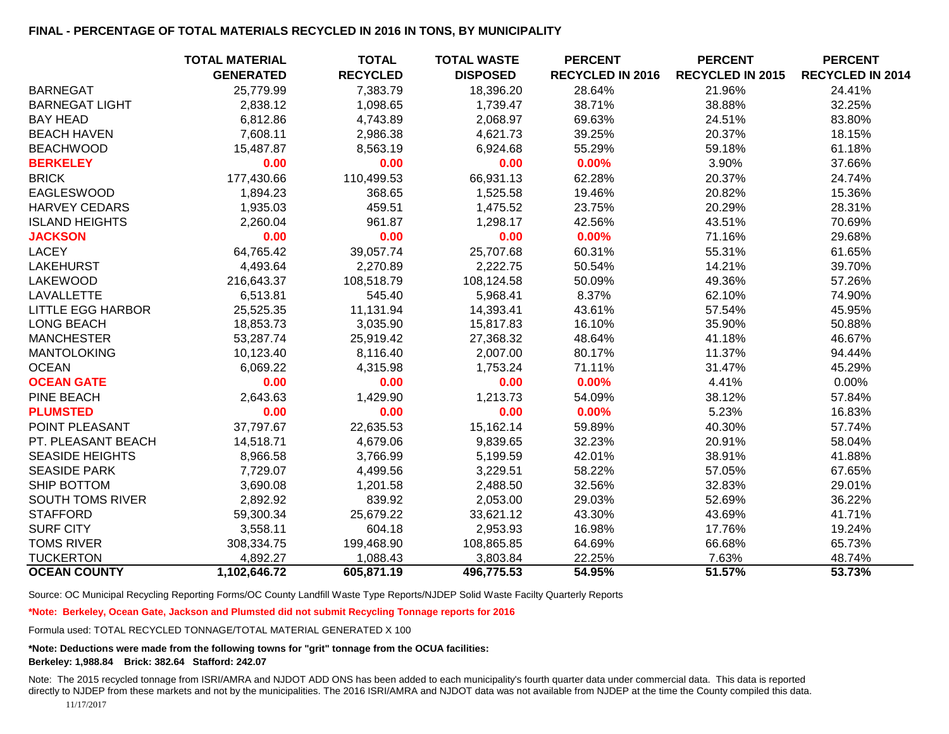### **FINAL - PERCENTAGE OF TOTAL MATERIALS RECYCLED IN 2016 IN TONS, BY MUNICIPALITY**

|                          | <b>TOTAL MATERIAL</b> | <b>TOTAL</b>    | <b>TOTAL WASTE</b> | <b>PERCENT</b>   | <b>PERCENT</b>          | <b>PERCENT</b>          |
|--------------------------|-----------------------|-----------------|--------------------|------------------|-------------------------|-------------------------|
|                          | <b>GENERATED</b>      | <b>RECYCLED</b> | <b>DISPOSED</b>    | RECYCLED IN 2016 | <b>RECYCLED IN 2015</b> | <b>RECYCLED IN 2014</b> |
| <b>BARNEGAT</b>          | 25,779.99             | 7,383.79        | 18,396.20          | 28.64%           | 21.96%                  | 24.41%                  |
| <b>BARNEGAT LIGHT</b>    | 2,838.12              | 1,098.65        | 1,739.47           | 38.71%           | 38.88%                  | 32.25%                  |
| <b>BAY HEAD</b>          | 6,812.86              | 4,743.89        | 2,068.97           | 69.63%           | 24.51%                  | 83.80%                  |
| <b>BEACH HAVEN</b>       | 7,608.11              | 2,986.38        | 4,621.73           | 39.25%           | 20.37%                  | 18.15%                  |
| <b>BEACHWOOD</b>         | 15,487.87             | 8,563.19        | 6,924.68           | 55.29%           | 59.18%                  | 61.18%                  |
| <b>BERKELEY</b>          | 0.00                  | 0.00            | 0.00               | 0.00%            | 3.90%                   | 37.66%                  |
| <b>BRICK</b>             | 177,430.66            | 110,499.53      | 66,931.13          | 62.28%           | 20.37%                  | 24.74%                  |
| <b>EAGLESWOOD</b>        | 1,894.23              | 368.65          | 1,525.58           | 19.46%           | 20.82%                  | 15.36%                  |
| <b>HARVEY CEDARS</b>     | 1,935.03              | 459.51          | 1,475.52           | 23.75%           | 20.29%                  | 28.31%                  |
| <b>ISLAND HEIGHTS</b>    | 2,260.04              | 961.87          | 1,298.17           | 42.56%           | 43.51%                  | 70.69%                  |
| <b>JACKSON</b>           | 0.00                  | 0.00            | 0.00               | 0.00%            | 71.16%                  | 29.68%                  |
| <b>LACEY</b>             | 64,765.42             | 39,057.74       | 25,707.68          | 60.31%           | 55.31%                  | 61.65%                  |
| <b>LAKEHURST</b>         | 4,493.64              | 2,270.89        | 2,222.75           | 50.54%           | 14.21%                  | 39.70%                  |
| <b>LAKEWOOD</b>          | 216,643.37            | 108,518.79      | 108,124.58         | 50.09%           | 49.36%                  | 57.26%                  |
| LAVALLETTE               | 6,513.81              | 545.40          | 5,968.41           | 8.37%            | 62.10%                  | 74.90%                  |
| <b>LITTLE EGG HARBOR</b> | 25,525.35             | 11,131.94       | 14,393.41          | 43.61%           | 57.54%                  | 45.95%                  |
| <b>LONG BEACH</b>        | 18,853.73             | 3,035.90        | 15,817.83          | 16.10%           | 35.90%                  | 50.88%                  |
| <b>MANCHESTER</b>        | 53,287.74             | 25,919.42       | 27,368.32          | 48.64%           | 41.18%                  | 46.67%                  |
| <b>MANTOLOKING</b>       | 10,123.40             | 8,116.40        | 2,007.00           | 80.17%           | 11.37%                  | 94.44%                  |
| <b>OCEAN</b>             | 6,069.22              | 4,315.98        | 1,753.24           | 71.11%           | 31.47%                  | 45.29%                  |
| <b>OCEAN GATE</b>        | 0.00                  | 0.00            | 0.00               | 0.00%            | 4.41%                   | 0.00%                   |
| PINE BEACH               | 2,643.63              | 1,429.90        | 1,213.73           | 54.09%           | 38.12%                  | 57.84%                  |
| <b>PLUMSTED</b>          | 0.00                  | 0.00            | 0.00               | 0.00%            | 5.23%                   | 16.83%                  |
| POINT PLEASANT           | 37,797.67             | 22,635.53       | 15,162.14          | 59.89%           | 40.30%                  | 57.74%                  |
| PT. PLEASANT BEACH       | 14,518.71             | 4,679.06        | 9,839.65           | 32.23%           | 20.91%                  | 58.04%                  |
| <b>SEASIDE HEIGHTS</b>   | 8,966.58              | 3,766.99        | 5,199.59           | 42.01%           | 38.91%                  | 41.88%                  |
| <b>SEASIDE PARK</b>      | 7,729.07              | 4,499.56        | 3,229.51           | 58.22%           | 57.05%                  | 67.65%                  |
| SHIP BOTTOM              | 3,690.08              | 1,201.58        | 2,488.50           | 32.56%           | 32.83%                  | 29.01%                  |
| <b>SOUTH TOMS RIVER</b>  | 2,892.92              | 839.92          | 2,053.00           | 29.03%           | 52.69%                  | 36.22%                  |
| <b>STAFFORD</b>          | 59,300.34             | 25,679.22       | 33,621.12          | 43.30%           | 43.69%                  | 41.71%                  |
| <b>SURF CITY</b>         | 3,558.11              | 604.18          | 2,953.93           | 16.98%           | 17.76%                  | 19.24%                  |
| <b>TOMS RIVER</b>        | 308,334.75            | 199,468.90      | 108,865.85         | 64.69%           | 66.68%                  | 65.73%                  |
| <b>TUCKERTON</b>         | 4,892.27              | 1,088.43        | 3,803.84           | 22.25%           | 7.63%                   | 48.74%                  |
| <b>OCEAN COUNTY</b>      | 1,102,646.72          | 605,871.19      | 496,775.53         | 54.95%           | 51.57%                  | 53.73%                  |

Source: OC Municipal Recycling Reporting Forms/OC County Landfill Waste Type Reports/NJDEP Solid Waste Facilty Quarterly Reports

**\*Note: Berkeley, Ocean Gate, Jackson and Plumsted did not submit Recycling Tonnage reports for 2016**

Formula used: TOTAL RECYCLED TONNAGE/TOTAL MATERIAL GENERATED X 100

#### **\*Note: Deductions were made from the following towns for "grit" tonnage from the OCUA facilities: Berkeley: 1,988.84 Brick: 382.64 Stafford: 242.07**

Note: The 2015 recycled tonnage from ISRI/AMRA and NJDOT ADD ONS has been added to each municipality's fourth quarter data under commercial data. This data is reported directly to NJDEP from these markets and not by the municipalities. The 2016 ISRI/AMRA and NJDOT data was not available from NJDEP at the time the County compiled this data. 11/17/2017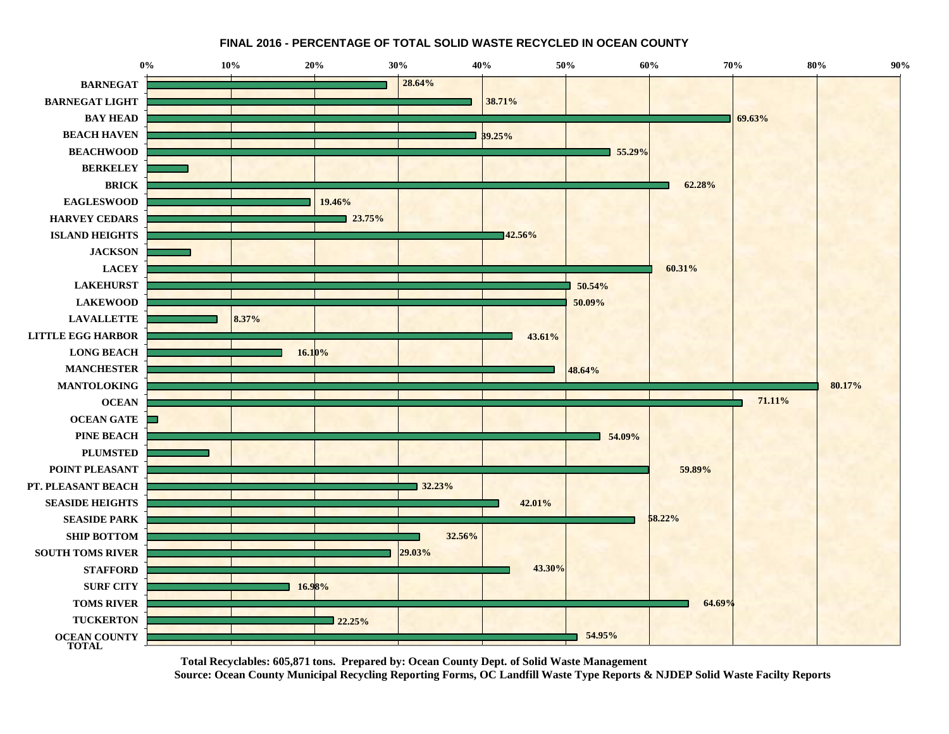**FINAL 2016 - PERCENTAGE OF TOTAL SOLID WASTE RECYCLED IN OCEAN COUNTY** 



**Total Recyclables: 605,871 tons. Prepared by: Ocean County Dept. of Solid Waste Management Source: Ocean County Municipal Recycling Reporting Forms, OC Landfill Waste Type Reports & NJDEP Solid Waste Facilty Reports**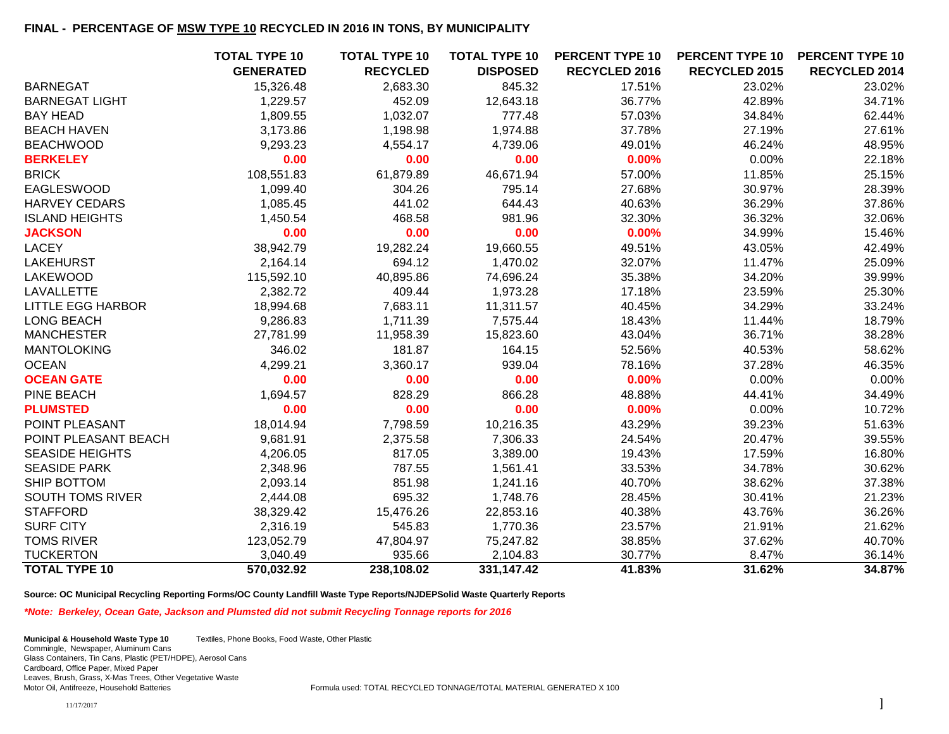### **FINAL - PERCENTAGE OF MSW TYPE 10 RECYCLED IN 2016 IN TONS, BY MUNICIPALITY**

|                          | <b>TOTAL TYPE 10</b> | <b>TOTAL TYPE 10</b> | <b>TOTAL TYPE 10</b> | <b>PERCENT TYPE 10</b> | <b>PERCENT TYPE 10</b> | <b>PERCENT TYPE 10</b> |
|--------------------------|----------------------|----------------------|----------------------|------------------------|------------------------|------------------------|
|                          | <b>GENERATED</b>     | <b>RECYCLED</b>      | <b>DISPOSED</b>      | <b>RECYCLED 2016</b>   | <b>RECYCLED 2015</b>   | <b>RECYCLED 2014</b>   |
| <b>BARNEGAT</b>          | 15,326.48            | 2,683.30             | 845.32               | 17.51%                 | 23.02%                 | 23.02%                 |
| <b>BARNEGAT LIGHT</b>    | 1,229.57             | 452.09               | 12,643.18            | 36.77%                 | 42.89%                 | 34.71%                 |
| <b>BAY HEAD</b>          | 1,809.55             | 1,032.07             | 777.48               | 57.03%                 | 34.84%                 | 62.44%                 |
| <b>BEACH HAVEN</b>       | 3,173.86             | 1,198.98             | 1,974.88             | 37.78%                 | 27.19%                 | 27.61%                 |
| <b>BEACHWOOD</b>         | 9,293.23             | 4,554.17             | 4,739.06             | 49.01%                 | 46.24%                 | 48.95%                 |
| <b>BERKELEY</b>          | 0.00                 | 0.00                 | 0.00                 | 0.00%                  | 0.00%                  | 22.18%                 |
| <b>BRICK</b>             | 108,551.83           | 61,879.89            | 46,671.94            | 57.00%                 | 11.85%                 | 25.15%                 |
| <b>EAGLESWOOD</b>        | 1,099.40             | 304.26               | 795.14               | 27.68%                 | 30.97%                 | 28.39%                 |
| <b>HARVEY CEDARS</b>     | 1,085.45             | 441.02               | 644.43               | 40.63%                 | 36.29%                 | 37.86%                 |
| <b>ISLAND HEIGHTS</b>    | 1,450.54             | 468.58               | 981.96               | 32.30%                 | 36.32%                 | 32.06%                 |
| <b>JACKSON</b>           | 0.00                 | 0.00                 | 0.00                 | 0.00%                  | 34.99%                 | 15.46%                 |
| <b>LACEY</b>             | 38,942.79            | 19,282.24            | 19,660.55            | 49.51%                 | 43.05%                 | 42.49%                 |
| <b>LAKEHURST</b>         | 2,164.14             | 694.12               | 1,470.02             | 32.07%                 | 11.47%                 | 25.09%                 |
| <b>LAKEWOOD</b>          | 115,592.10           | 40,895.86            | 74,696.24            | 35.38%                 | 34.20%                 | 39.99%                 |
| LAVALLETTE               | 2,382.72             | 409.44               | 1,973.28             | 17.18%                 | 23.59%                 | 25.30%                 |
| <b>LITTLE EGG HARBOR</b> | 18,994.68            | 7,683.11             | 11,311.57            | 40.45%                 | 34.29%                 | 33.24%                 |
| <b>LONG BEACH</b>        | 9,286.83             | 1,711.39             | 7,575.44             | 18.43%                 | 11.44%                 | 18.79%                 |
| <b>MANCHESTER</b>        | 27,781.99            | 11,958.39            | 15,823.60            | 43.04%                 | 36.71%                 | 38.28%                 |
| <b>MANTOLOKING</b>       | 346.02               | 181.87               | 164.15               | 52.56%                 | 40.53%                 | 58.62%                 |
| <b>OCEAN</b>             | 4,299.21             | 3,360.17             | 939.04               | 78.16%                 | 37.28%                 | 46.35%                 |
| <b>OCEAN GATE</b>        | 0.00                 | 0.00                 | 0.00                 | 0.00%                  | 0.00%                  | 0.00%                  |
| <b>PINE BEACH</b>        | 1,694.57             | 828.29               | 866.28               | 48.88%                 | 44.41%                 | 34.49%                 |
| <b>PLUMSTED</b>          | 0.00                 | 0.00                 | 0.00                 | 0.00%                  | 0.00%                  | 10.72%                 |
| POINT PLEASANT           | 18,014.94            | 7,798.59             | 10,216.35            | 43.29%                 | 39.23%                 | 51.63%                 |
| POINT PLEASANT BEACH     | 9,681.91             | 2,375.58             | 7,306.33             | 24.54%                 | 20.47%                 | 39.55%                 |
| <b>SEASIDE HEIGHTS</b>   | 4,206.05             | 817.05               | 3,389.00             | 19.43%                 | 17.59%                 | 16.80%                 |
| <b>SEASIDE PARK</b>      | 2,348.96             | 787.55               | 1,561.41             | 33.53%                 | 34.78%                 | 30.62%                 |
| SHIP BOTTOM              | 2,093.14             | 851.98               | 1,241.16             | 40.70%                 | 38.62%                 | 37.38%                 |
| <b>SOUTH TOMS RIVER</b>  | 2,444.08             | 695.32               | 1,748.76             | 28.45%                 | 30.41%                 | 21.23%                 |
| <b>STAFFORD</b>          | 38,329.42            | 15,476.26            | 22,853.16            | 40.38%                 | 43.76%                 | 36.26%                 |
| <b>SURF CITY</b>         | 2,316.19             | 545.83               | 1,770.36             | 23.57%                 | 21.91%                 | 21.62%                 |
| <b>TOMS RIVER</b>        | 123,052.79           | 47,804.97            | 75,247.82            | 38.85%                 | 37.62%                 | 40.70%                 |
| <b>TUCKERTON</b>         | 3,040.49             | 935.66               | 2,104.83             | 30.77%                 | 8.47%                  | 36.14%                 |
| <b>TOTAL TYPE 10</b>     | 570,032.92           | 238,108.02           | 331,147.42           | 41.83%                 | 31.62%                 | 34.87%                 |

**Source: OC Municipal Recycling Reporting Forms/OC County Landfill Waste Type Reports/NJDEPSolid Waste Quarterly Reports**

*\*Note: Berkeley, Ocean Gate, Jackson and Plumsted did not submit Recycling Tonnage reports for 2016*

**Municipal & Household Waste Type 10** Textiles, Phone Books, Food Waste, Other Plastic Commingle, Newspaper, Aluminum Cans Glass Containers, Tin Cans, Plastic (PET/HDPE), Aerosol Cans Cardboard, Office Paper, Mixed Paper Leaves, Brush, Grass, X-Mas Trees, Other Vegetative Waste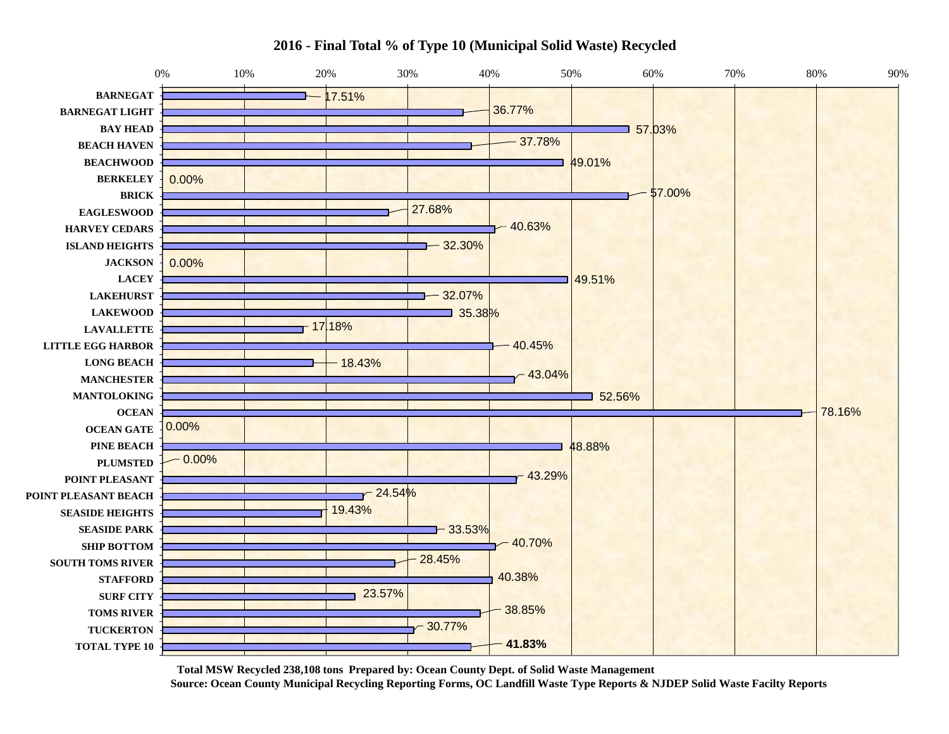

**2016 - Final Total % of Type 10 (Municipal Solid Waste) Recycled**

**Total MSW Recycled 238,108 tons Prepared by: Ocean County Dept. of Solid Waste Management Source: Ocean County Municipal Recycling Reporting Forms, OC Landfill Waste Type Reports & NJDEP Solid Waste Facilty Reports**